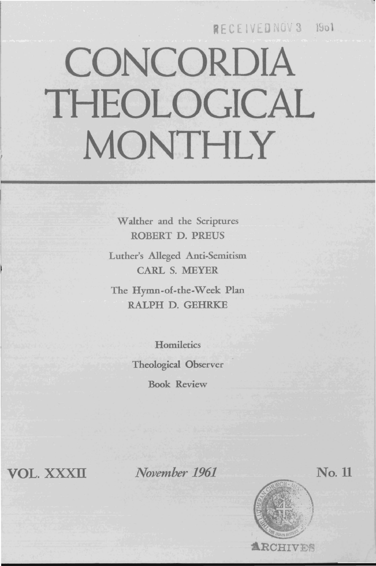### **MECEIAEDMOAS BOY**

# **CONCORDIA THEOLOGICAL MONTHLY**

Walther and the Scriptures ROBERT D. PREUS

Luther's Alleged Anti-Semitism CARL S. MEYER

The Hymn-of-the-Week Plan RALPH D. GEHRKE

> **Homiletics** Theological Observer Book Review

VOL. XXXII

*November 1961* 



No.ll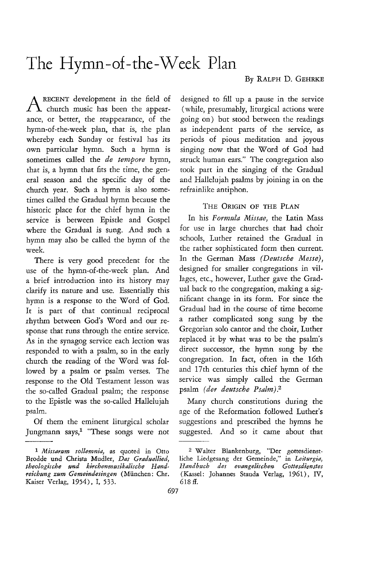## The Hymn-of-the-Week Plan

#### By RALPH D. GEHRKE

ARECENT development in the field of church music has been the appearance, or better, the reappearance, of the hymn-of-the-week plan, that is, the plan whereby each Sunday or festival has its own particular hymn. Such a hymn is sometimes called the *de tempore* hymn, that is, a hymn that fits the time, the general season and the specific day of the church year. Such a hymn is also sometimes called the Gradual hymn because the historic place for the chief hymn in the service is between Epistle and Gospel where the Gradual is sung. And such a hymn may also be called the hymn of the week.

There is very good precedent for the use of the hymn-of-the-week plan. And a brief introduction into its history may clarify its nature and use. Essentially this hymn is a response to the Word of God. It is part of that continual reciprocal rhythm between God's Word and our response that runs through the entire service. As in the synagog service each lection was responded to with a psalm, so in the early church the reading of the Word was followed by a psalm or psalm verses. The response to the Old Testament lesson was the so-called Gradual psalm; the response to the Epistle was the so-called Hallelujah psalm.

Of them the eminent liturgical scholar Jungmann says,<sup>1</sup> "These songs were not

designed to fill up a pause in the service (while, presumably, liturgical actions were going on) but stood between the readings as independent parts of the service, as periods of pious meditation and joyous singing now that the Word of God had struck human ears." The congregation also took part in the singing of the Gradual and Hallelujah psalms by joining in on the refrainlike antiphon.

#### THE ORIGIN OF THE PLAN

In his *Formula Missae,* the Latin Mass for use in large churches that had choir schools, Luther retained the Gradual in the rather sophisticated form then current. In the German Mass *(Deutsche Messe),*  designed for smaller congregations in villages, etc., however, Luther gave the Gradual back to the congregation, making a significant change in its form. For since the Gradual had in the course of time become a rather complicated song sung by the Gregorian solo cantor and the choir, Luther replaced it by what was to be the psalm's direct successor, the hymn sung by the congregation. In fact, often in the 16th and 17th centuries this chief hymn of the service was simply called the German psalm *(der deutsche Psalm}.2* 

Many church constitutions during the age of the Reformation followed Luther's suggestions and prescribed the hymns he suggested. And so it came about that

*<sup>1</sup> Missarum sollemnia,* as quoted in Otto Brodde und Christa Mudler, *Das Graduallied, theologische und kirchenmusikalische Handreichung zum Gemeindesingen* (Miinchen: Chr. Kaiser Verlag, 1954), I, 533.

<sup>2</sup> Walter Blankenburg, "Der gottesdienstliche Liedgesang der Gemeinde," in *Leiturgia, Handbuch des evangelischen Gottesdienstes*  (Kassel: Johannes Stauda Verlag, 1961), IV, 618 ff.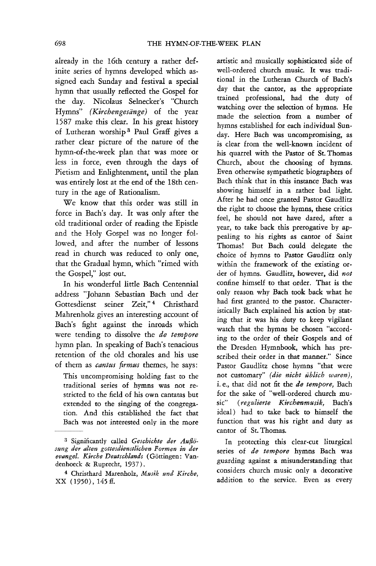already in the 16th century a rather definite series of hymns developed which assigned each Sunday and festival a special hymn that usually reflected the Gospel for the day. Nicolaus Selnecker's "Church Hymns" *(Kirchengesange)* of the year 1587 make this clear. In his great history of Lutheran worship 3 Paul Graff gives a rather clear picture of the nature of the hymn-of-the-week plan that was more or less in force, even through the days of Pietism and Enlightenment, until the plan was entirely lost at the end of the 18th century in the age of Rationalism.

We know that this order was still in force in Bach's day. It was only after the old traditional order of reading the Epistle and the Holy Gospel was no longer followed, and after the number of lessons read in church was reduced to only one, that the Gradual hymn, which "rimed with the Gospel," lost out.

In his wonderful little Bach Centennial address "Johann Sebastian Bach und der Gottesdienst seiner Zeit,"<sup>4</sup> Christhard Mahrenholz gives an interesting account of Bach's fight against the inroads which were tending to dissolve the *de tempore*  hymn plan. In speaking of Bach's tenacious retention of the old chorales and his use of them as *cantus firmus* themes, he says:

This uncompromising holding fast to the traditional series of hymns was not restricted to the field of his own cantatas but extended to the singing of the congregation. And this established the fact that Bach was not interested only in the more artistic and musically sophisticated side of well-ordered church music. It was traditional in the Lutheran Church of Bach's day that the cantor, as the appropriate trained professional, had the duty of watching over the selection of hymns. He made the selection from a number of hymns established for each individual Sunday. Here Bach was uncompromising, as is clear from the well-known incident of his quarrel with the Pastor of St. Thomas Church, about the choosing of hymns. Even otherwise sympathetic biographers of Bach think that in this instance Bach was showing himself in a rather bad light. After he had once granted Pastor Gaudlitz the right to choose the hymns, these critics feel, he should not have dared, after a year, to take back this prerogative by appealing to his rights as cantor of Saint Thomas! But Bach could delegate the choice of hymns to Pastor Gaudlitz only within the framework of the existing order of hymns. Gaudlitz, however, did *not*  confine himself to that order. That is the only reason why Bach took back what he had first granted to the pastor. Characteristically Bach explained his action by stating that it was his duty to keep vigilant watch that the hymns be chosen "according to the order of their Gospels and of the Dresden Hymnbook, which has prescribed their order in that manner." Since Pastor Gaudlitz chose hymns "that were not customary" *(die nicht ublich waren),*  i. *e.,* that did not fit the *de tempore,* Bach for the sake of "well-ordered church music" (regulierte Kirchenmusik, Bach's ideal) had to take back to himself the function that was his right and duty as cantor of St. Thomas.

In protecting this clear-cut liturgical series of *de tempore* hymns Bach was guarding against a misunderstanding that considers church music only a decorative addition to the service. Even as every

<sup>&</sup>lt;sup>3</sup> Significantly called *Geschichte der Auflösung der alten gottesdienstlichen Formen in del' evangel. Kirche Deutschlands* (Gottingen: Vandenhoeck & Ruprecht, 1937).

<sup>4</sup> Christhard Matenholz, *Musik und Kirche,*  XX (1950), 145 ff.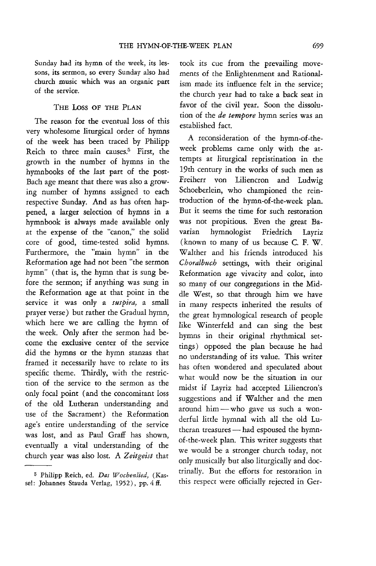Sunday had its hymn of the week, its lessons, its sermon, so every Sunday also had church music which was an organic part of the service.

#### THE Loss OF THE PLAN

The reason for the eventual loss of this very wholesome liturgical order of hymns of the week has been traced by Philipp Reich to three main causes.<sup>5</sup> First, the growth in the number of hymns in the hymn books of the last part of the post-Bach age meant that there was also a growing number of hymns assigned to each respective Sunday. And as has often happened, a larger selection of hymns in a hymnbook is always made available only at the expense of the "canon," the solid core of good, time-tested solid hymns. Furthermore, the "main hymn" in the Reformation age had not been "the sermon hymn" (that is, the hymn that is sung before the sermon; if anything was sung in the Reformation age at that point in the service it was only a *suspira,* a small prayer verse) but rather the Gradual hymn, which here we are calling the hymn of the week. Only after the sermon had become the exclusive center of the service did the hymns or the hymn stanzas that framed it necessarily have to relate to its specific theme. Thirdly, with the restriction of the service to the sermon as the only focal point (and the concomitant loss of the old Lutheran understanding and use of the Sacrament) the Reformation age's entire understanding of the service was lost, and as Paul Graff has shown, eventually a vital understanding of the church year was also lost. A *Zeitgeist* that

took its cue from the prevailing movements of the Enlightenment and Rationalism made its influence felt in the service; the church year had to take a back seat in favor of the civil year. Soon the dissolution of the *de tempore* hymn series was an established fact.

A reconsideration of the hymn-of-theweek problems came only with the attempts at liturgical repristination in the 19th century in the works of such men as Freiherr von Liliencron and Ludwig Schoeberlein, who championed the reintroduction of the hymn-of-the-week plan. But it seems the time for such restoration was not propitious. Even the great Bavarian hymnologist Friedrich Layriz (known to many of us because C. F. W. Walther and his friends introduced his *Choralbuch* settings, with their original Reformation age vivacity and color, into so many of our congregations in the Middle West, so that through him we have in many respects inherited the results of the great hymnological research of people like Winterfeld and can sing the best hymns in their original rhythmical settings) opposed the plan because he had no understanding of its value. This writer has often wondered and speculated about what would now be the situation in our midst if Layriz had accepted Liliencron's suggestions and if Walther and the men around him - who gave us such a wonderful little hymnal with all the old Lutheran treasures - had espoused the hymnof-the-week plan. This writer suggests that we would be a stronger church today, not only musically but also liturgically and doctrinally. But the efforts for restoration in this respect were officially rejected in Ger-

<sup>5</sup> Philipp Reich, ed. *Das Wochenlied,* (Kassel: Johannes Stauda Verlag, 1952), pp. 4 ff.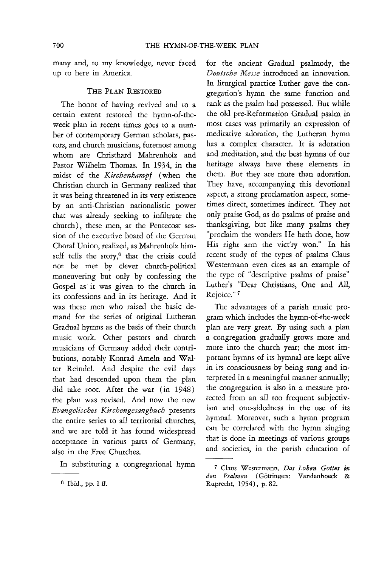many and, to my knowledge, never faced up to here in America.

#### THE PLAN RESTORED

The honor of having revived and to a certain extent restored the hymn-of-theweek plan in recent times goes to a number of contemporary German scholars, pastors, and church musicians, foremost among whom are Christhard Mahrenholz and Pastor Wilhelm Thomas. In 1934, in the midst of the *Kirchenkampf* (when the Christian church in Germany realized that it was being threatened in its very existence by an anti-Christian nationalistic power that was already seeking to infiltrate the church), these men, at the Pentecost session of the executive board of the German Choral Union, realized, as Mahrenholz himself tells the story,<sup>6</sup> that the crisis could not be met by clever church-political maneuvering but only by confessing the Gospel as it was given to the church in its confessions and in its heritage. And it was these men who raised the basic demand for the series of original Lutheran Gradual hymns as the basis of their church music work. Other pastors and church musicians of Germany added their contributions, notably Konrad Ameln and Walter Reindel. And despite the evil days that had descended upon them the plan did take root. After the war (in 1948) the plan was revised. And now the new *Evangelisches Kirchengesangbuch* presents the entire series to all territorial churches, and we are told it has found widespread acceptance in various parts of Germany, also in the Free Churches.

In substituting a congregational hymn

for the ancient Gradual psalmody, the *Deutsche Messe* introduced an innovation. In liturgical practice Luther gave the congregation's hymn the same function and rank as the psalm had possessed. But while the old pre-Reformation Gradual psalm in most cases was primarily an expression of meditative adoration, the Lutheran hymn has a complex character. It is adoration and meditation, and the best hymns of our heritage always have these elements in them. But they are more than adoration. They have, accompanying this devotional aspect, a strong proclamation aspect, sometimes direct, sometimes indirect. They not only praise God, as do psalms of praise and thanksgiving, but like many psalms they "proclaim the wonders He hath done, how His right arm the vict'ry won." In his recent study of the types of psalms Claus Westermann even cites as an example of the type of "descriptive psalms of praise" Luther's "Dear Christians, One and All, Rejoice."<sup>7</sup>

The advantages of a parish music program which includes the hymn-of-the-week plan are very great. By using such a plan a congregation gradually grows more and more into the church year; the most important hymns of its hymnal are kept alive in its consciousness by being sung and interpreted in a meaningful manner annually; the congregation is also in a measure protected from an all too frequent subjectivism and one-sidedness in the use of its hymnal. Moreover, such a hymn program can be correlated with the hymn singing that is done in meetings of various groups and societies, in the parish education of

 $6$  Ibid., pp. 1 ff.

<sup>7</sup>Claus Westermann, *Das Loben Gottes* in den Psalmen (Göttingen: Vandenhoeck Ruprecht, 1954), p. 82.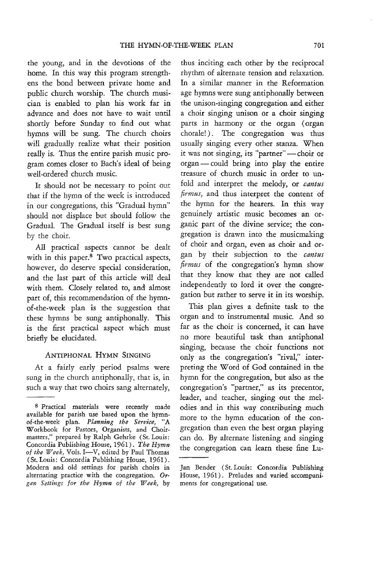the young, and in the devotions of the home. In this way this program strengthens the bond between private home and public church worship. The church musician is enabled to plan his work far in advance and does not have to wait until shortly before Sunday to find out what hymns will be sung. The church choirs will gradually realize what their position really is. Thus the entire parish music program comes closer to Bach's ideal of being well-ordered church music.

It should not be necessary to point out that if the hymn of the week is introduced in our congregations, this "Gradual hymn" should not displace but should follow the Gradual. The Gradual itself is best sung by the choir.

All practical aspects cannot be dealt with in this paper.<sup>8</sup> Two practical aspects, however, do deserve special consideration, and the last part of this article will deal with them. Closely related to, and almost part of, this recommendation of the hymnof-the-week plan is the suggestion that these hymns be sung antiphonally. This is the first practical aspect which must briefly be elucidated.

#### ANTIPHONAL HYMN SINGING

At a fairly early period psalms were sung in the church antiphonally, that is, in such a way that two choirs sang alternately,

thus inciting each other by the reciprocal rhythm of alternate tension and relaxation. In a similar manner in the Reformation age hymns were sung antiphonally between the unison-singing congregation and either a choir singing unison or a choir singing parts in harmony or the organ (organ chorale!). The congregation was thus usually singing every other stanza. When it was not singing, its "partner" - choir or  $organ$  - could bring into play the entire treasure of church music in order to unfold and interpret the melody, or *cantus firmus*, and thus interpret the content of the hymn for the hearers. In this way genuinely artistic music becomes an organic part of the divine service; the congregation is drawn into the musicmaking of choir and organ, even as choir and Ofgan by their subjection to the *cantus firmus* of the congregation's hymn show that they know that they are not called independently to lord it over the congregation but rather to serve it in its worship.

This plan gives a definite task to the organ and to instrumental music. And so far as the choir is concerned, it can have no more beautiful task than antiphonal singing, because the choir functions not only as the congregation's "rival," interpreting the Word of God contained in the hymn for the congregation, but also as the congregation's "partner," as its precentor, leader, and teacher, singing out the melodies and in this way contributing much more to the hymn education of the congregation than even the best organ playing can do. By alternate listening and singing the congregation can learn these fine Lu-

<sup>8</sup> Practical materials were recently made available for parish use based upon the hymnof-the-week plan. *Planning the Service, "A*  Workbook for Pastors, Organists, and Choirmasters," prepared by Ralph Gehrke (St. Louis: Concordia Publishing House, 1961). *The Hymn*  of the Week, Vols. I-V, edited by Paul Thomas (St. Louis: Concordia Publishing House, 1961). Modern and old settings for parish choirs in alternating practice with the congregation. Or*gan Settings for the Hymn of the Week,* by

Jan Bender (St. Louis: Concordia Publishing House, 1961). Preludes and varied accompaniments for congregational use.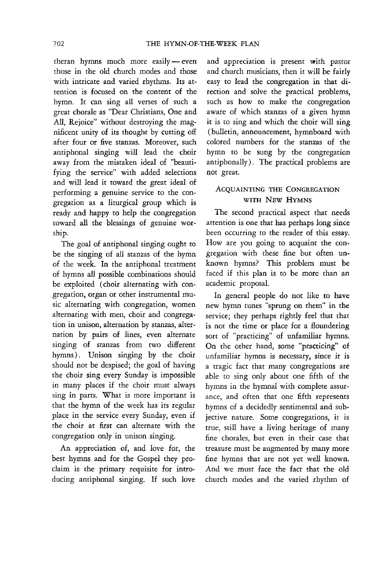theran hymns much more easily  $-$  even those in the old church modes and those with intricate and varied rhythms. Its attention is focused on the content of the hymn. It can sing all verses of such a great chorale as "Dear Christians, One and All, Rejoice" without destroying the magnificent unity of its thought by cutting off after four or five stanzas. Moreover, such antiphonal singing will lead the choir away from the mistaken ideal of "beautifying the service" with added selections and will lead it toward the great ideal of performing a genuine service to the congregation as a liturgical group which is ready and happy to help the congregation toward all the blessings of genuine war· ship.

The goal of antiphonal singing ought to be the singing of all stanzas of the hymn of the week. In the antiphonal treatment of hymns all possible combinations should be exploited (choir alternating with congregation, organ or other instrumental music alternating with congregation, women alternating with men, choir and congregation in unison, alternation by stanzas, alternation by pairs of lines, even alternate singing of stanzas from two different hymns). Unison singing by the choir should not be despised; the goal of having the choir sing every Sunday is impossible in many places if the choir must always sing in parts. What is more important is that the hymn of the week has its regular place in the service every Sunday, even if the choir at first can alternate with the congregation only in unison singing.

An appreciation of, and love for, the best hymns and for the Gospel they pro· claim is the primary requisite for introducing antiphonal singing. If such love and appreciation is present with pastor and church musicians, then it will be fairly easy to lead the congregation in that di· rection and solve the practical problems, such as how to make the congregation aware of which stanzas of a given hymn it is to sing and which the choir will sing (bulletin, announcement, hymnboard with colored numbers for the stanzas of the hymn to be sung by the congregation antiphonally). The practical problems are not great.

#### ACQUAINTING THE CONGREGATION WITH NEW HYMNS

The second practical aspect that needs attention is one that has perhaps long since been occurring to the reader of this essay. How are you going to acquaint the congregation with these fine but often unknown hymns? This problem must be faced if this plan is to be more than an academic proposal.

In general people do not like to have new hymn tunes "sprung on them" in the service; they perhaps rightly feel that that is not the time or place for a floundering sort of "practicing" of unfamiliar hymns. On the other hand, some "practicing" of unfamiliar hymns is necessary, since **it is**  a tragic fact that many congregations are able to sing only about one fifth of the hymns in the hymnal with complete assurance, and often that one fifth represents hymns of a decidedly sentimental and subjective nature. Some congregations, it is true, still have a living heritage of many fine chorales, but even in their case that treasure must be augmented by many more fine hymns that are not yet well known. And we must face the fact that the old church modes and the varied rhythm of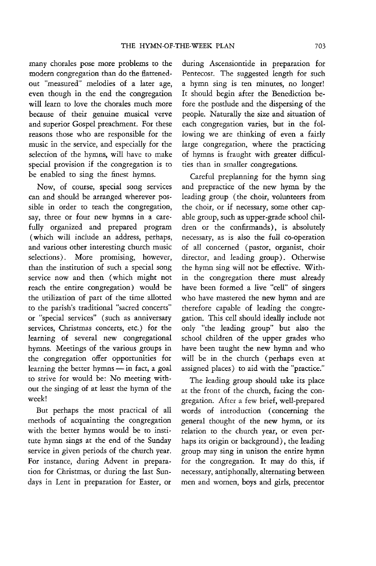many chorales pose more problems to the modern congregation than do the flattenedout "measured" melodies of a later age, even though in the end the congregation will learn to love the chorales much more because of their genuine musical verve and superior Gospel preachment. For these reasons those who are responsible for the music in the service, and especially for the selection of the hymns, will have to make special provision if the congregation is to be enabled to sing the finest hymns.

Now, of course, special song services can and should be arranged wherever possible in order to teach the congregation, say, three or four new hymns in a carefully organized and prepared program (which will include an address, perhaps, and various other interesting church music selections). More promising, however, than the institution of such a special song service now and then (which might not reach the entire congregation) would be the utilization of part of the time allotted to the parish's traditional "sacred concerts" or "special services" (such as anniversary services, Christmas concerts, etc.) for the learning of several new congregational hymns. Meetings of the various groups in the congregation offer opportunities for learning the better hymns $\frac{1}{\sqrt{2}}$  in fact, a goal to strive for would be: No meeting without the singing of at least the hymn of the week!

But perhaps the most practical of all methods of acquainting the congregation with the better hymns would be to institute hymn sings at the end of the Sunday service in given periods of the church year. For instance, during Advent in preparation for Christmas, or during the last Sundays in Lent in preparation for Easter, or during Ascensiontide in preparation for Pentecost. The suggested length for such a hymn sing is ten minutes, no longer! **It** should begin after the Benediction before the postlude and the dispersing of the people. Naturally the size and situation of each congregation varies, but in the following we are thinking of even a fairly large congregation, where the practicing of hymns is fraught with greater difficulties than in smaller congregations.

Careful preplanning for the hymn sing and prepractice of the new hymn by the leading group (the choir, volunteers from the choir, or if necessary, some other capable group, such as upper-grade school children or the confirmands), is absolutely necessary, as is also the full co-operation of all concerned (pastor, organist, choir director, and leading group). Otherwise the hymn sing will not be effective. Within the congregation there must already have been formed a live "cell" of singers who have mastered the new hymn and are therefore capable of leading the congregation. This cell should ideally include not only "the leading group" but also the school children of the upper grades who have been taught the new hymn and who will be in the church (perhaps even at assigned places) to aid with the "practice."

The leading group should take its place at the front of the church, facing the congregation. After a few brief, well-prepared words of introduction ( concerning the general thought of the new hymn, or its relation to the church year, or even perhaps its origin or background), the leading group may sing in unison the entire hymn for the congregation. It may do this, if necessary, antiphonally, alternating between men and women, boys and girls, precentor